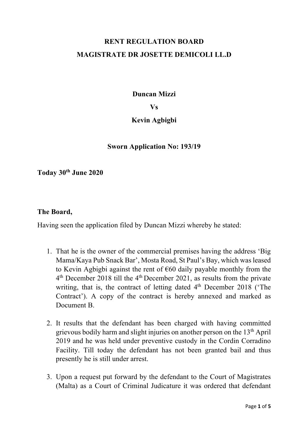# **RENT REGULATION BOARD MAGISTRATE DR JOSETTE DEMICOLI LL.D**

**Duncan Mizzi**

**Vs**

## **Kevin Agbigbi**

### **Sworn Application No: 193/19**

**Today 30th June 2020**

#### **The Board,**

Having seen the application filed by Duncan Mizzi whereby he stated:

- 1. That he is the owner of the commercial premises having the address 'Big Mama/Kaya Pub Snack Bar', Mosta Road, St Paul's Bay, which was leased to Kevin Agbigbi against the rent of  $\epsilon$ 60 daily payable monthly from the  $4<sup>th</sup>$  December 2018 till the  $4<sup>th</sup>$  December 2021, as results from the private writing, that is, the contract of letting dated  $4<sup>th</sup>$  December 2018 (The Contract'). A copy of the contract is hereby annexed and marked as Document B.
- 2. It results that the defendant has been charged with having committed grievous bodily harm and slight injuries on another person on the 13th April 2019 and he was held under preventive custody in the Cordin Corradino Facility. Till today the defendant has not been granted bail and thus presently he is still under arrest.
- 3. Upon a request put forward by the defendant to the Court of Magistrates (Malta) as a Court of Criminal Judicature it was ordered that defendant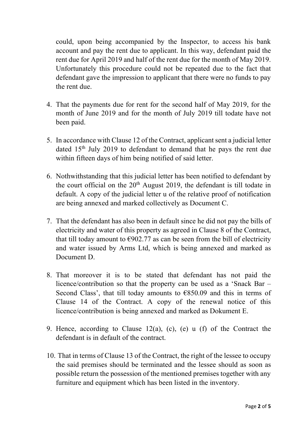could, upon being accompanied by the Inspector, to access his bank account and pay the rent due to applicant. In this way, defendant paid the rent due for April 2019 and half of the rent due for the month of May 2019. Unfortunately this procedure could not be repeated due to the fact that defendant gave the impression to applicant that there were no funds to pay the rent due.

- 4. That the payments due for rent for the second half of May 2019, for the month of June 2019 and for the month of July 2019 till todate have not been paid.
- 5. In accordance with Clause 12 of the Contract, applicant sent a judicial letter dated 15th July 2019 to defendant to demand that he pays the rent due within fifteen days of him being notified of said letter.
- 6. Nothwithstanding that this judicial letter has been notified to defendant by the court official on the  $20<sup>th</sup>$  August 2019, the defendant is till todate in default. A copy of the judicial letter u of the relative proof of notification are being annexed and marked collectively as Document C.
- 7. That the defendant has also been in default since he did not pay the bills of electricity and water of this property as agreed in Clause 8 of the Contract, that till today amount to  $\epsilon$ 902.77 as can be seen from the bill of electricity and water issued by Arms Ltd, which is being annexed and marked as Document D.
- 8. That moreover it is to be stated that defendant has not paid the licence/contribution so that the property can be used as a 'Snack Bar – Second Class', that till today amounts to  $\epsilon$ 850.09 and this in terms of Clause 14 of the Contract. A copy of the renewal notice of this licence/contribution is being annexed and marked as Dokument E.
- 9. Hence, according to Clause 12(a), (c), (e) u (f) of the Contract the defendant is in default of the contract.
- 10. That in terms of Clause 13 of the Contract, the right of the lessee to occupy the said premises should be terminated and the lessee should as soon as possible return the possession of the mentioned premises together with any furniture and equipment which has been listed in the inventory.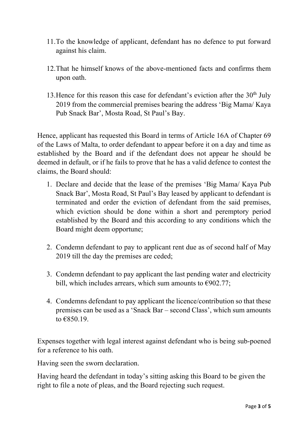- 11.To the knowledge of applicant, defendant has no defence to put forward against his claim.
- 12.That he himself knows of the above-mentioned facts and confirms them upon oath.
- 13. Hence for this reason this case for defendant's eviction after the  $30<sup>th</sup>$  July 2019 from the commercial premises bearing the address 'Big Mama/ Kaya Pub Snack Bar', Mosta Road, St Paul's Bay.

Hence, applicant has requested this Board in terms of Article 16A of Chapter 69 of the Laws of Malta, to order defendant to appear before it on a day and time as established by the Board and if the defendant does not appear he should be deemed in default, or if he fails to prove that he has a valid defence to contest the claims, the Board should:

- 1. Declare and decide that the lease of the premises 'Big Mama/ Kaya Pub Snack Bar', Mosta Road, St Paul's Bay leased by applicant to defendant is terminated and order the eviction of defendant from the said premises, which eviction should be done within a short and peremptory period established by the Board and this according to any conditions which the Board might deem opportune;
- 2. Condemn defendant to pay to applicant rent due as of second half of May 2019 till the day the premises are ceded;
- 3. Condemn defendant to pay applicant the last pending water and electricity bill, which includes arrears, which sum amounts to  $\epsilon$ 902.77;
- 4. Condemns defendant to pay applicant the licence/contribution so that these premises can be used as a 'Snack Bar – second Class', which sum amounts to  $€850.19$ .

Expenses together with legal interest against defendant who is being sub-poened for a reference to his oath.

Having seen the sworn declaration.

Having heard the defendant in today's sitting asking this Board to be given the right to file a note of pleas, and the Board rejecting such request.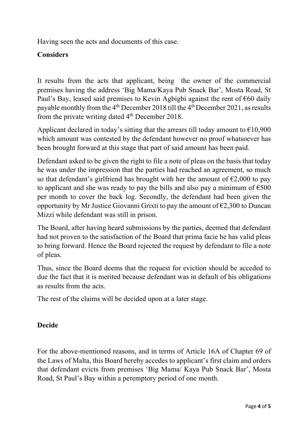Having seen the acts and documents of this case.

# **Considers**

It results from the acts that applicant, being the owner of the commercial premises having the address 'Big Mama/Kaya Pub Snack Bar', Mosta Road, St Paul's Bay, leased said premises to Kevin Agbigbi against the rent of  $\epsilon$ 60 daily payable monthly from the 4th December 2018 till the 4th December 2021, as results from the private writing dated  $4<sup>th</sup>$  December 2018.

Applicant declared in today's sitting that the arrears till today amount to  $\epsilon$ 10,900 which amount was contested by the defendant however no proof whatsoever has been brought forward at this stage that part of said amount has been paid.

Defendant asked to be given the right to file a note of pleas on the basis that today he was under the impression that the parties had reached an agreement, so much so that defendant's girlfriend has brought with her the amount of  $\epsilon$ 2,000 to pay to applicant and she was ready to pay the bills and also pay a minimum of  $\epsilon$ 500 per month to cover the back log. Secondly, the defendant had been given the opportunity by Mr Justice Giovanni Grixti to pay the amount of  $\epsilon$ 2,300 to Duncan Mizzi while defendant was still in prison.

The Board, after having heard submissions by the parties, deemed that defendant had not proven to the satisfaction of the Board that prima facie he has valid pleas to bring forward. Hence the Board rejected the request by defendant to file a note of pleas.

Thus, since the Board deems that the request for eviction should be acceded to due the fact that it is merited because defendant was in default of his obligations as results from the acts.

The rest of the claims will be decided upon at a later stage.

## **Decide**

For the above-mentioned reasons, and in terms of Article 16A of Chapter 69 of the Laws of Malta, this Board hereby accedes to applicant's first claim and orders that defendant evicts from premises 'Big Mama/ Kaya Pub Snack Bar', Mosta Road, St Paul's Bay within a peremptory period of one month.